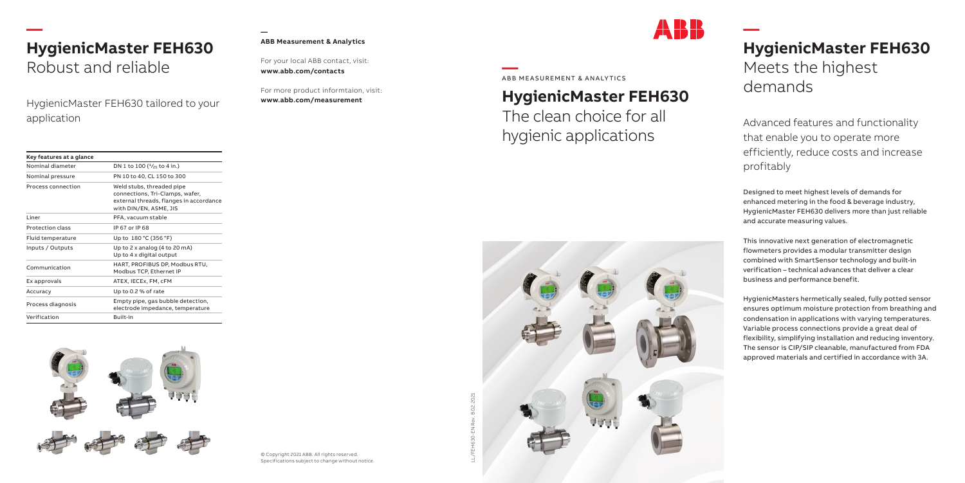

### **HygienicMaster FEH630**

The clean choice for all hygienic applications

### **— HygienicMaster FEH630**  Meets the highest demands

Advanced features and functionality that enable you to operate more efficiently, reduce costs and increase profitably

Designed to meet highest levels of demands for enhanced metering in the food & beverage industry, HygienicMaster FEH630 delivers more than just reliable and accurate measuring values.

This innovative next generation of electromagnetic flowmeters provides a modular transmitter design combined with SmartSensor technology and built-in verification – technical advances that deliver a clear business and performance benefit.

**ABB Measurement & Analytics**<br>For your local ABB contact, visit:<br>For your local ABB contacts<br>For more product informtaion, vis<br>**Specifications subject to change without notice.**<br>Specifications subject to change without not For more product informtaion, visit: **www.abb.com/measurement**

HygienicMasters hermetically sealed, fully potted sensor ensures optimum moisture protection from breathing and condensation in applications with varying temperatures. Variable process connections provide a great deal of flexibility, simplifying installation and reducing inventory. The sensor is CIP/SIP cleanable, manufactured from FDA approved materials and certified in accordance with 3A.





© Copyright 2021 ABB. All rights reserved.

#### **ABB Measurement & Analytics**

For your local ABB contact, visit: **www.abb.com/contacts**

### **— HygienicMaster FEH630**  Robust and reliable

HygienicMaster FEH630 tailored to your application

| Key features at a glance |                                                                                                                                   |
|--------------------------|-----------------------------------------------------------------------------------------------------------------------------------|
| Nominal diameter         | DN 1 to 100 $(^{1}/_{25}$ to 4 in.)                                                                                               |
| Nominal pressure         | PN 10 to 40, CL 150 to 300                                                                                                        |
| Process connection       | Weld stubs, threaded pipe<br>connections, Tri-Clamps, wafer,<br>external threads, flanges in accordance<br>with DIN/EN, ASME, JIS |
| Liner                    | PFA, vacuum stable                                                                                                                |
| <b>Protection class</b>  | IP 67 or IP 68                                                                                                                    |
| Fluid temperature        | Up to 180 °C (356 °F)                                                                                                             |
| Inputs / Outputs         | Up to 2 x analog (4 to 20 mA)<br>Up to 4 x digital output                                                                         |
| Communication            | HART, PROFIBUS DP, Modbus RTU,<br>Modbus TCP, Ethernet IP                                                                         |
| Ex approvals             | ATEX, IECEx, FM, cFM                                                                                                              |
| Accuracy                 | Up to 0.2 % of rate                                                                                                               |
| Process diagnosis        | Empty pipe, gas bubble detection,<br>electrode impedance, temperature                                                             |
| Verification             | Built-in                                                                                                                          |
|                          |                                                                                                                                   |